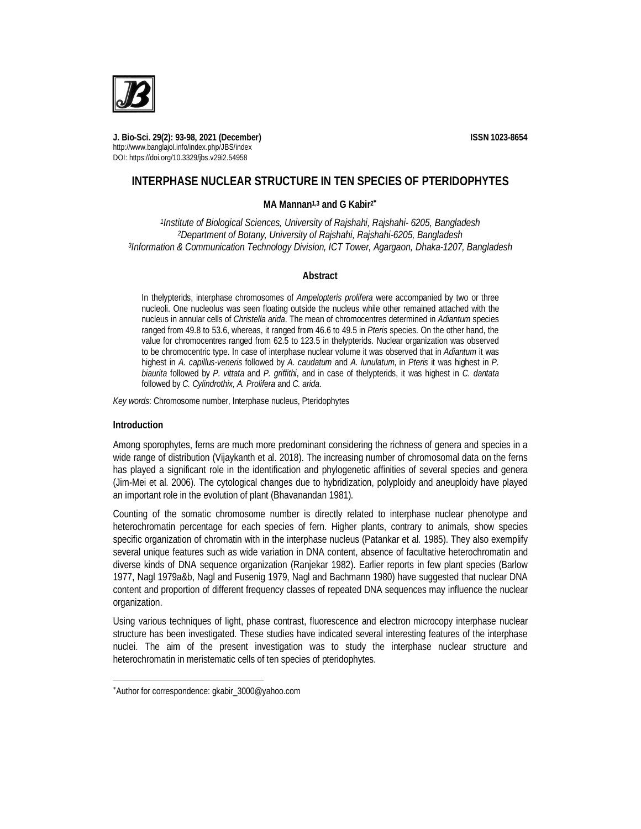

**J. Bio-Sci. 29(2): 93-98, 2021 (December) ISSN 1023-8654** http://www.banglajol.info/index.php/JBS/index DOI: https://doi.org/10.3329/jbs.v29i2.54958

# **INTERPHASE NUCLEAR STRUCTURE IN TEN SPECIES OF PTERIDOPHYTES**

## **MA Mannan1,3 and G Kabir<sup>2</sup>**

*1 Institute of Biological Sciences, University of Rajshahi, Rajshahi- 6205, Bangladesh <sup>2</sup>Department of Botany, University of Rajshahi, Rajshahi-6205, Bangladesh 3 Information & Communication Technology Division, ICT Tower, Agargaon, Dhaka-1207, Bangladesh*

### **Abstract**

In thelypterids, interphase chromosomes of *Ampelopteris prolifera* were accompanied by two or three nucleoli. One nucleolus was seen floating outside the nucleus while other remained attached with the nucleus in annular cells of *Christella arida*. The mean of chromocentres determined in *Adiantum* species ranged from 49.8 to 53.6, whereas, it ranged from 46.6 to 49.5 in *Pteris* species. On the other hand, the value for chromocentres ranged from 62.5 to 123.5 in thelypterids. Nuclear organization was observed to be chromocentric type. In case of interphase nuclear volume it was observed that in *Adiantum* it was highest in *A. capillus-veneris* followed by *A. caudatum* and *A. lunulatum*, in *Pteris* it was highest in *P. biaurita* followed by *P. vittata* and *P. griffithi*, and in case of thelypterids, it was highest in *C. dantata* followed by *C. Cylindrothix, A. Prolifera* and *C. arida*.

*Key words*: Chromosome number, Interphase nucleus, Pteridophytes

### **Introduction**

 $\overline{a}$ 

Among sporophytes, ferns are much more predominant considering the richness of genera and species in a wide range of distribution (Vijaykanth et al. 2018). The increasing number of chromosomal data on the ferns has played a significant role in the identification and phylogenetic affinities of several species and genera (Jim-Mei et al. 2006). The cytological changes due to hybridization, polyploidy and aneuploidy have played an important role in the evolution of plant (Bhavanandan 1981).

Counting of the somatic chromosome number is directly related to interphase nuclear phenotype and heterochromatin percentage for each species of fern. Higher plants, contrary to animals, show species specific organization of chromatin with in the interphase nucleus (Patankar et al*.* 1985). They also exemplify several unique features such as wide variation in DNA content, absence of facultative heterochromatin and diverse kinds of DNA sequence organization (Ranjekar 1982). Earlier reports in few plant species (Barlow 1977, Nagl 1979a&b, Nagl and Fusenig 1979, Nagl and Bachmann 1980) have suggested that nuclear DNA content and proportion of different frequency classes of repeated DNA sequences may influence the nuclear organization.

Using various techniques of light, phase contrast, fluorescence and electron microcopy interphase nuclear structure has been investigated. These studies have indicated several interesting features of the interphase nuclei. The aim of the present investigation was to study the interphase nuclear structure and heterochromatin in meristematic cells of ten species of pteridophytes.

Author for correspondence: gkabir\_3000@yahoo.com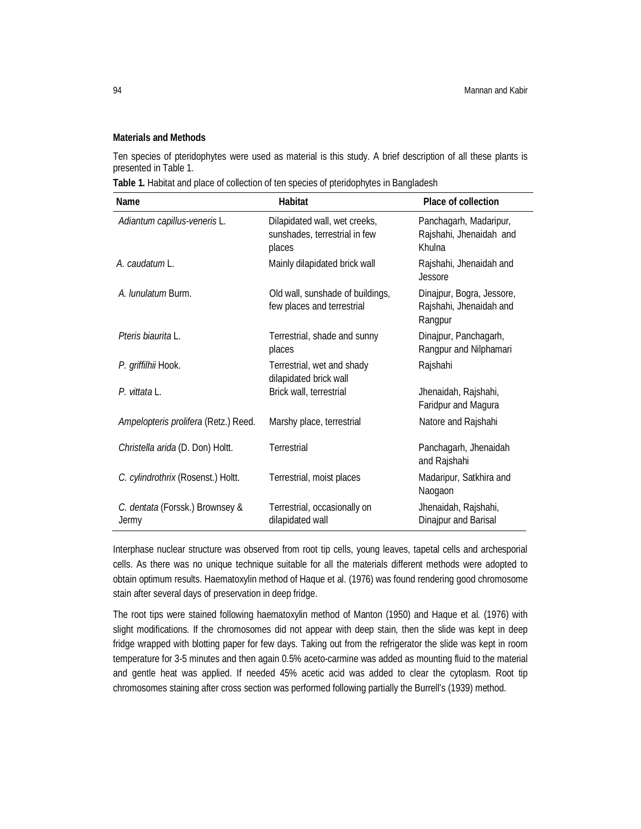### **Materials and Methods**

Ten species of pteridophytes were used as material is this study. A brief description of all these plants is presented in Table 1.

**Table 1.** Habitat and place of collection of ten species of pteridophytes in Bangladesh

| <b>Name</b>                              | Habitat                                                                  | <b>Place of collection</b>                                      |  |  |
|------------------------------------------|--------------------------------------------------------------------------|-----------------------------------------------------------------|--|--|
| Adiantum capillus-veneris L.             | Dilapidated wall, wet creeks,<br>sunshades, terrestrial in few<br>places | Panchagarh, Madaripur,<br>Rajshahi, Jhenaidah and<br>Khulna     |  |  |
| A. caudatum L.                           | Mainly dilapidated brick wall                                            | Rajshahi, Jhenaidah and<br>Jessore                              |  |  |
| A. <i>lunulatum</i> Burm.                | Old wall, sunshade of buildings,<br>few places and terrestrial           | Dinajpur, Bogra, Jessore,<br>Rajshahi, Jhenaidah and<br>Rangpur |  |  |
| Pteris biaurita L.                       | Terrestrial, shade and sunny<br>places                                   | Dinajpur, Panchagarh,<br>Rangpur and Nilphamari                 |  |  |
| P. griffilhii Hook.                      | Terrestrial, wet and shady<br>dilapidated brick wall                     | Rajshahi                                                        |  |  |
| P. vittata L.                            | Brick wall, terrestrial                                                  | Jhenaidah, Rajshahi,<br>Faridpur and Magura                     |  |  |
| Ampelopteris prolifera (Retz.) Reed.     | Marshy place, terrestrial                                                | Natore and Rajshahi                                             |  |  |
| Christella arida (D. Don) Holtt.         | <b>Terrestrial</b>                                                       | Panchagarh, Jhenaidah<br>and Rajshahi                           |  |  |
| C. cylindrothrix (Rosenst.) Holtt.       | Terrestrial, moist places                                                | Madaripur, Satkhira and<br>Naogaon                              |  |  |
| C. dentata (Forssk.) Brownsey &<br>Jermy | Terrestrial, occasionally on<br>dilapidated wall                         | Jhenaidah, Rajshahi,<br>Dinajpur and Barisal                    |  |  |

Interphase nuclear structure was observed from root tip cells, young leaves, tapetal cells and archesporial cells. As there was no unique technique suitable for all the materials different methods were adopted to obtain optimum results. Haematoxylin method of Haque et al. (1976) was found rendering good chromosome stain after several days of preservation in deep fridge.

The root tips were stained following haematoxylin method of Manton (1950) and Haque et al*.* (1976) with slight modifications. If the chromosomes did not appear with deep stain, then the slide was kept in deep fridge wrapped with blotting paper for few days. Taking out from the refrigerator the slide was kept in room temperature for 3-5 minutes and then again 0.5% aceto-carmine was added as mounting fluid to the material and gentle heat was applied. If needed 45% acetic acid was added to clear the cytoplasm. Root tip chromosomes staining after cross section was performed following partially the Burrell's (1939) method.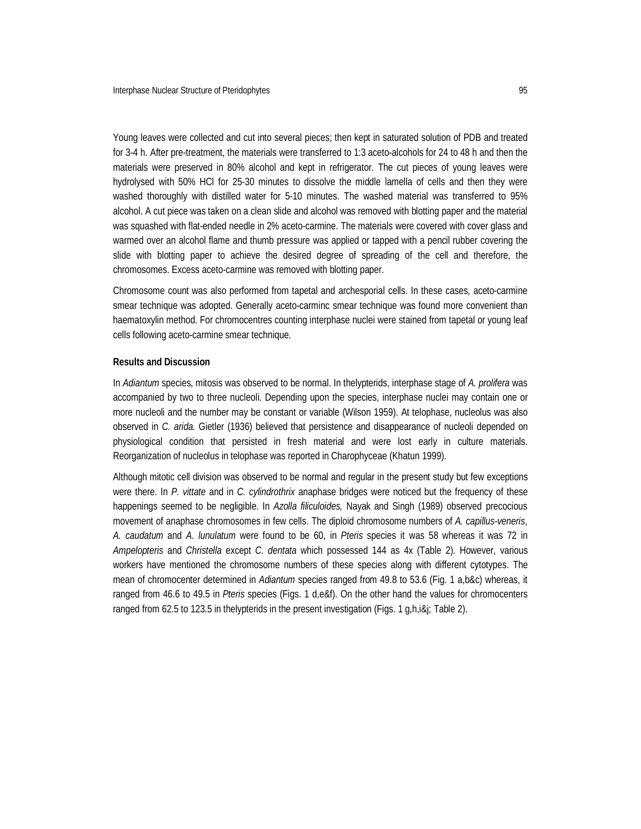Young leaves were collected and cut into several pieces; then kept in saturated solution of PDB and treated for 3-4 h. After pre-treatment, the materials were transferred to 1:3 aceto-alcohols for 24 to 48 h and then the materials were preserved in 80% alcohol and kept in refrigerator. The cut pieces of young leaves were hydrolysed with 50% HCl for 25-30 minutes to dissolve the middle lamella of cells and then they were washed thoroughly with distilled water for 5-10 minutes. The washed material was transferred to 95% alcohol. A cut piece was taken on a clean slide and alcohol was removed with blotting paper and the material was squashed with flat-ended needle in 2% aceto-carmine. The materials were covered with cover glass and warmed over an alcohol flame and thumb pressure was applied or tapped with a pencil rubber covering the slide with blotting paper to achieve the desired degree of spreading of the cell and therefore, the chromosomes. Excess aceto-carmine was removed with blotting paper.

Chromosome count was also performed from tapetal and archesporial cells. In these cases, aceto-carmine smear technique was adopted. Generally aceto-carminc smear technique was found more convenient than haematoxylin method. For chromocentres counting interphase nuclei were stained from tapetal or young leaf cells following aceto-carmine smear technique.

#### **Results and Discussion**

In *Adiantum* species, mitosis was observed to be normal. In thelypterids, interphase stage of *A. prolifera* was accompanied by two to three nucleoli. Depending upon the species, interphase nuclei may contain one or more nucleoli and the number may be constant or variable (Wilson 1959). At telophase, nucleolus was also observed in *C. arida.* Gietler (1936) believed that persistence and disappearance of nucleoli depended on physiological condition that persisted in fresh material and were lost early in culture materials. Reorganization of nucleolus in telophase was reported in Charophyceae (Khatun 1999).

Although mitotic cell division was observed to be normal and regular in the present study but few exceptions were there. In *P. vittate* and in *C. cylindrothrix* anaphase bridges were noticed but the frequency of these happenings seemed to be negligible. In *Azolla filiculoides,* Nayak and Singh (1989) observed precocious movement of anaphase chromosomes in few cells. The diploid chromosome numbers of *A. capillus-veneris*, *A. caudatum* and *A. lunulatum* were found to be 60, in *Pteris* species it was 58 whereas it was 72 in *Ampelopteris* and *Christella* except *C. dentata* which possessed 144 as 4x (Table 2). However, various workers have mentioned the chromosome numbers of these species along with different cytotypes. The mean of chromocenter determined in *Adiantum* species ranged from 49.8 to 53.6 (Fig. 1 a,b&c) whereas, it ranged from 46.6 to 49.5 in *Pteris* species (Figs. 1 d,e&f). On the other hand the values for chromocenters ranged from 62.5 to 123.5 in thelypterids in the present investigation (Figs. 1 g,h,i&j; Table 2).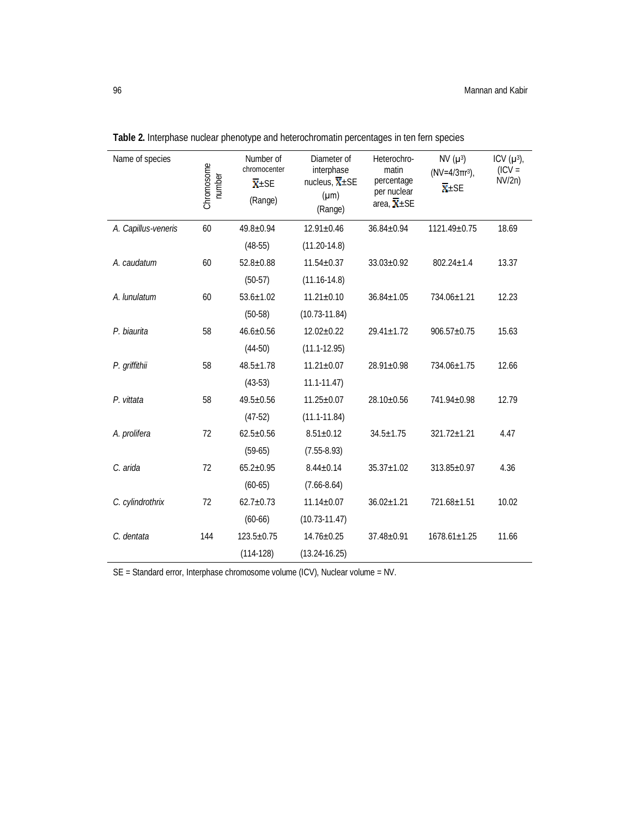| Name of species     | Chromosome<br>number | Number of<br>chromocenter<br>$\overline{\mathbf{X}}$ ±SE<br>(Range) | Diameter of<br>interphase<br>nucleus, $\overline{X}$ ±SE<br>$(\mu m)$<br>(Range) | Heterochro-<br>matin<br>percentage<br>per nuclear<br>area, $\overline{\mathbf{X}}$ ±SE | $NV (\mu^3)$<br>$(NV=4/3\pi r^3)$ ,<br>$\overline{\mathbf{X}}$ ±SE | ICV $(\mu^3)$ ,<br>$(ICV =$<br>NVI2n) |
|---------------------|----------------------|---------------------------------------------------------------------|----------------------------------------------------------------------------------|----------------------------------------------------------------------------------------|--------------------------------------------------------------------|---------------------------------------|
| A. Capillus-veneris | 60                   | $49.8 \pm 0.94$                                                     | $12.91 \pm 0.46$                                                                 | $36.84 \pm 0.94$                                                                       | 1121.49±0.75                                                       | 18.69                                 |
|                     |                      | $(48-55)$                                                           | $(11.20 - 14.8)$                                                                 |                                                                                        |                                                                    |                                       |
| A. caudatum         | 60                   | $52.8 \pm 0.88$                                                     | $11.54 \pm 0.37$                                                                 | $33.03 \pm 0.92$                                                                       | $802.24 \pm 1.4$                                                   | 13.37                                 |
|                     |                      | $(50-57)$                                                           | $(11.16 - 14.8)$                                                                 |                                                                                        |                                                                    |                                       |
| A. lunulatum        | 60                   | $53.6 \pm 1.02$                                                     | $11.21 \pm 0.10$                                                                 | $36.84 \pm 1.05$                                                                       | 734.06±1.21                                                        | 12.23                                 |
|                     |                      | $(50-58)$                                                           | $(10.73 - 11.84)$                                                                |                                                                                        |                                                                    |                                       |
| P. biaurita         | 58                   | $46.6 \pm 0.56$                                                     | $12.02 \pm 0.22$                                                                 | $29.41 \pm 1.72$                                                                       | $906.57 \pm 0.75$                                                  | 15.63                                 |
|                     |                      | $(44-50)$                                                           | $(11.1 - 12.95)$                                                                 |                                                                                        |                                                                    |                                       |
| P. griffithii       | 58                   | $48.5 \pm 1.78$                                                     | $11.21 \pm 0.07$                                                                 | $28.91 \pm 0.98$                                                                       | 734.06±1.75                                                        | 12.66                                 |
|                     |                      | $(43-53)$                                                           | $11.1 - 11.47$                                                                   |                                                                                        |                                                                    |                                       |
| P. vittata          | 58                   | $49.5 \pm 0.56$                                                     | $11.25 \pm 0.07$                                                                 | $28.10 \pm 0.56$                                                                       | 741.94±0.98                                                        | 12.79                                 |
|                     |                      | $(47-52)$                                                           | $(11.1 - 11.84)$                                                                 |                                                                                        |                                                                    |                                       |
| A. prolifera        | 72                   | $62.5 \pm 0.56$                                                     | $8.51 \pm 0.12$                                                                  | $34.5 \pm 1.75$                                                                        | 321.72±1.21                                                        | 4.47                                  |
|                     |                      | $(59-65)$                                                           | $(7.55-8.93)$                                                                    |                                                                                        |                                                                    |                                       |
| C. arida            | 72                   | $65.2 \pm 0.95$                                                     | $8.44 \pm 0.14$                                                                  | $35.37 \pm 1.02$                                                                       | $313.85 \pm 0.97$                                                  | 4.36                                  |
|                     |                      | $(60-65)$                                                           | $(7.66 - 8.64)$                                                                  |                                                                                        |                                                                    |                                       |
| C. cylindrothrix    | 72                   | $62.7 \pm 0.73$                                                     | $11.14 \pm 0.07$                                                                 | $36.02 \pm 1.21$                                                                       | 721.68±1.51                                                        | 10.02                                 |
|                     |                      | $(60-66)$                                                           | $(10.73 - 11.47)$                                                                |                                                                                        |                                                                    |                                       |
| C. dentata          | 144                  | $123.5 \pm 0.75$                                                    | $14.76 \pm 0.25$                                                                 | $37.48 \pm 0.91$                                                                       | $1678.61 \pm 1.25$                                                 | 11.66                                 |
|                     |                      | $(114-128)$                                                         | $(13.24 - 16.25)$                                                                |                                                                                        |                                                                    |                                       |

**Table 2.** Interphase nuclear phenotype and heterochromatin percentages in ten fern species

SE = Standard error, Interphase chromosome volume (ICV), Nuclear volume = NV.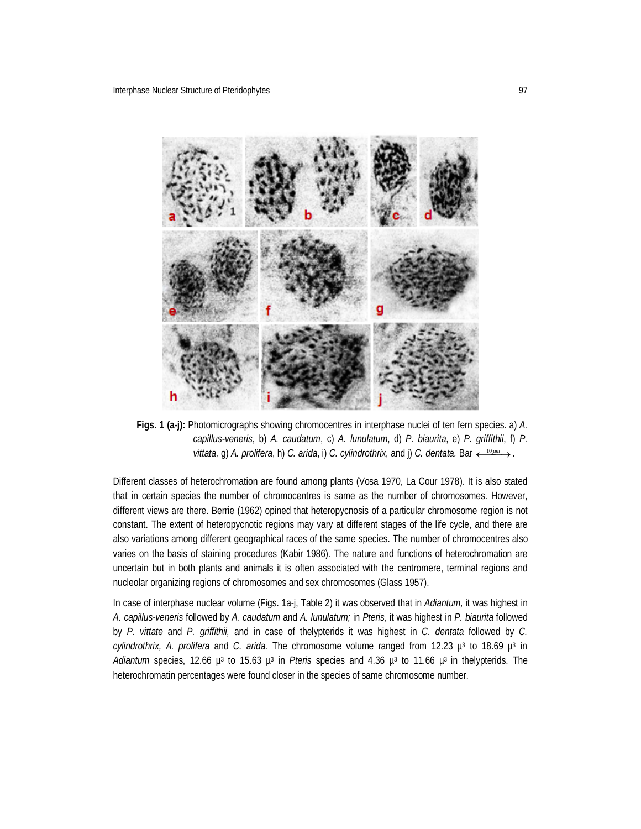

**Figs. 1 (a-j):** Photomicrographs showing chromocentres in interphase nuclei of ten fern species. a) *A. capillus-veneris*, b) *A. caudatum*, c) *A. lunulatum*, d) *P. biaurita*, e) *P. griffithii*, f) *P. vittata,* g) *A. prolifera,* h) *C. arida,* i) *C. cylindrothrix,* and i) *C. dentata.* Bar  $\leftarrow \frac{10 \mu m}{2}$ .

Different classes of heterochromation are found among plants (Vosa 1970, La Cour 1978). It is also stated that in certain species the number of chromocentres is same as the number of chromosomes. However, different views are there. Berrie (1962) opined that heteropycnosis of a particular chromosome region is not constant. The extent of heteropycnotic regions may vary at different stages of the life cycle, and there are also variations among different geographical races of the same species. The number of chromocentres also varies on the basis of staining procedures (Kabir 1986). The nature and functions of heterochromation are uncertain but in both plants and animals it is often associated with the centromere, terminal regions and nucleolar organizing regions of chromosomes and sex chromosomes (Glass 1957).

In case of interphase nuclear volume (Figs. 1a-j, Table 2) it was observed that in *Adiantum,* it was highest in *A. capillus-veneris* followed by *A*. *caudatum* and *A. lunulatum;* in *Pteris*, it was highest in *P. biaurita* followed by *P. vittate* and *P. griffithii,* and in case of thelypterids it was highest in *C. dentata* followed by *C.*  cylindrothrix, A. prolifera and C. arida. The chromosome volume ranged from 12.23  $\mu^3$  to 18.69  $\mu^3$  in Adiantum species, 12.66 μ<sup>3</sup> to 15.63 μ<sup>3</sup> in Pteris species and 4.36 μ<sup>3</sup> to 11.66 μ<sup>3</sup> in thelypterids. The heterochromatin percentages were found closer in the species of same chromosome number.